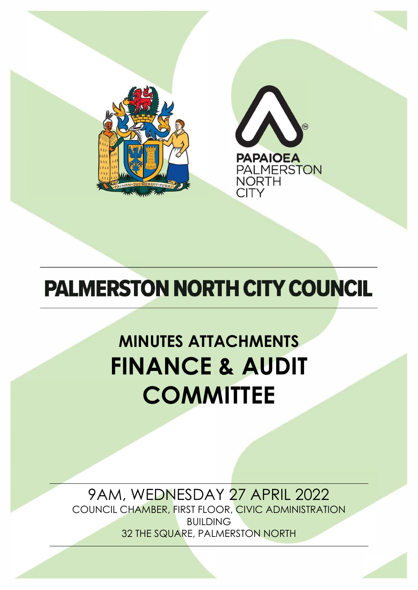



## **PALMERSTON NORTH CITY COUNCIL**

# **MINUTES ATTACHMENTS FINANCE & AUDIT COMMITTEE**

## 9AM, WEDNESDAY 27 APRIL 2022

COUNCIL CHAMBER, FIRST FLOOR, CIVIC ADMINISTRATION BUILDING 32 THE SQUARE, PALMERSTON NORTH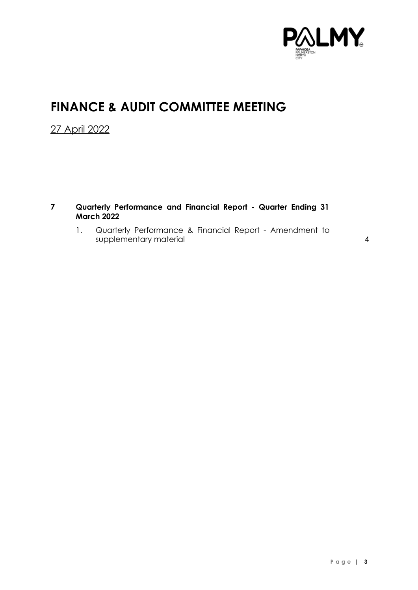

### **FINANCE & AUDIT COMMITTEE MEETING**

27 April 2022

- **7 Quarterly Performance and Financial Report - Quarter Ending 31 March 2022**
	- 1. Quarterly Performance & Financial Report Amendment to supplementary material [4](#page-3-0)